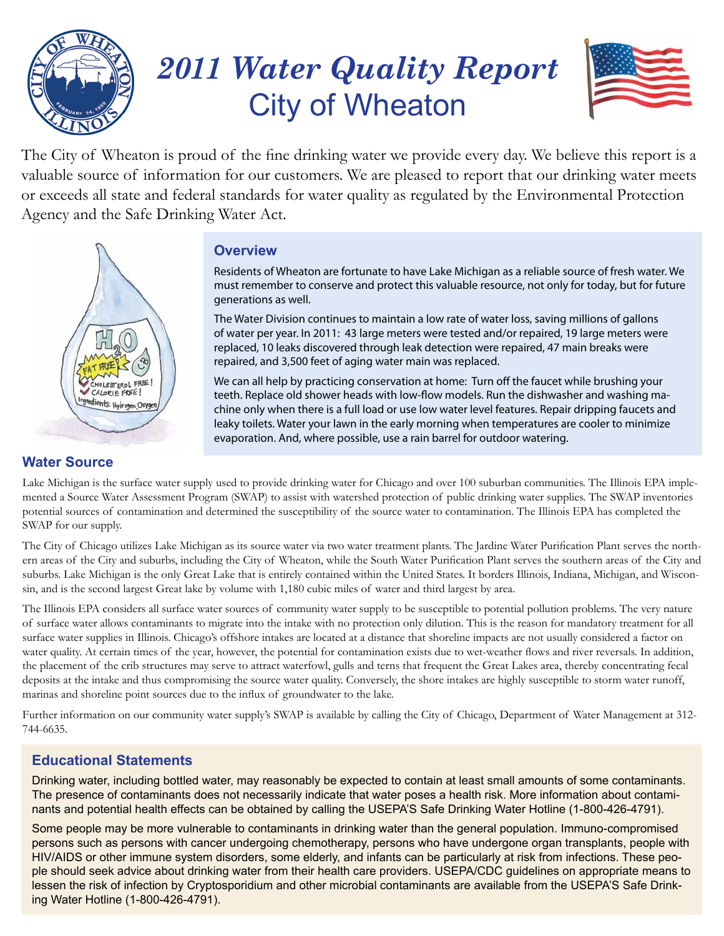

# *2011 Water Quality Report* City of Wheaton



The City of Wheaton is proud of the fine drinking water we provide every day. We believe this report is a valuable source of information for our customers. We are pleased to report that our drinking water meets or exceeds all state and federal standards for water quality as regulated by the Environmental Protection Agency and the Safe Drinking Water Act.



## **Overview**

Residents of Wheaton are fortunate to have Lake Michigan as a reliable source of fresh water. We must remember to conserve and protect this valuable resource, not only for today, but for future generations as well.

The Water Division continues to maintain a low rate of water loss, saving millions of gallons of water per year. In 2011: 43 large meters were tested and/or repaired, 19 large meters were replaced, 10 leaks discovered through leak detection were repaired, 47 main breaks were repaired, and 3,500 feet of aging water main was replaced.

We can all help by practicing conservation at home: Turn off the faucet while brushing your teeth. Replace old shower heads with low-flow models. Run the dishwasher and washing machine only when there is a full load or use low water level features. Repair dripping faucets and leaky toilets. Water your lawn in the early morning when temperatures are cooler to minimize evaporation. And, where possible, use a rain barrel for outdoor watering.

Lake Michigan is the surface water supply used to provide drinking water for Chicago and over 100 suburban communities. The Illinois EPA implemented a Source Water Assessment Program (SWAP) to assist with watershed protection of public drinking water supplies. The SWAP inventories potential sources of contamination and determined the susceptibility of the source water to contamination. The Illinois EPA has completed the SWAP for our supply.

The City of Chicago utilizes Lake Michigan as its source water via two water treatment plants. The Jardine Water Purification Plant serves the northern areas of the City and suburbs, including the City of Wheaton, while the South Water Purification Plant serves the southern areas of the City and suburbs. Lake Michigan is the only Great Lake that is entirely contained within the United States. It borders Illinois, Indiana, Michigan, and Wisconsin, and is the second largest Great lake by volume with 1,180 cubic miles of water and third largest by area.

The Illinois EPA considers all surface water sources of community water supply to be susceptible to potential pollution problems. The very nature of surface water allows contaminants to migrate into the intake with no protection only dilution. This is the reason for mandatory treatment for all surface water supplies in Illinois. Chicago's offshore intakes are located at a distance that shoreline impacts are not usually considered a factor on water quality. At certain times of the year, however, the potential for contamination exists due to wet-weather flows and river reversals. In addition, the placement of the crib structures may serve to attract waterfowl, gulls and terns that frequent the Great Lakes area, thereby concentrating fecal deposits at the intake and thus compromising the source water quality. Conversely, the shore intakes are highly susceptible to storm water runoff, marinas and shoreline point sources due to the influx of groundwater to the lake.

Further information on our community water supply's SWAP is available by calling the City of Chicago, Department of Water Management at 312- 744-6635.

## **Educational Statements**

Drinking water, including bottled water, may reasonably be expected to contain at least small amounts of some contaminants. The presence of contaminants does not necessarily indicate that water poses a health risk. More information about contaminants and potential health effects can be obtained by calling the USEPA'S Safe Drinking Water Hotline (1-800-426-4791).

Some people may be more vulnerable to contaminants in drinking water than the general population. Immuno-compromised persons such as persons with cancer undergoing chemotherapy, persons who have undergone organ transplants, people with HIV/AIDS or other immune system disorders, some elderly, and infants can be particularly at risk from infections. These people should seek advice about drinking water from their health care providers. USEPA/CDC guidelines on appropriate means to lessen the risk of infection by Cryptosporidium and other microbial contaminants are available from the USEPA'S Safe Drinking Water Hotline (1-800-426-4791).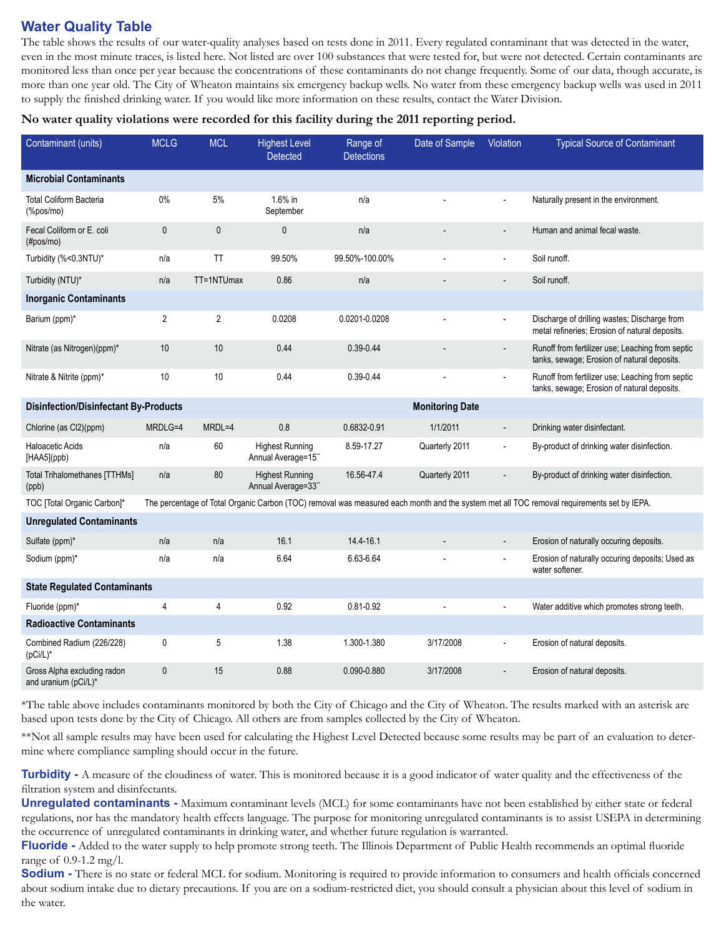#### **Water Quality Table**

The table shows the results of our water-quality analyses based on tests done in 2011. Every regulated contaminant that was detected in the water, even in the most minute traces, is listed here. Not listed are over 100 substances that were tested for, but were not detected. Certain contaminants are monitored less than once per year because the concentrations of these contaminants do not change frequently. Some of our data, though accurate, is more than one year old. The City of Wheaton maintains six emergency backup wells. No water from these emergency backup wells was used in 2011 to supply the finished drinking water. If you would like more information on these results, contact the Water Division.

**No water quality violations were recorded for this facility during the 2011 reporting period.**

| Contaminant (units)                                                    | <b>MCLG</b>    | <b>MCL</b>     | <b>Highest Level</b><br><b>Detected</b>      | Range of<br><b>Detections</b> | Date of Sample | Violation                | <b>Typical Source of Contaminant</b>                                                                                                      |
|------------------------------------------------------------------------|----------------|----------------|----------------------------------------------|-------------------------------|----------------|--------------------------|-------------------------------------------------------------------------------------------------------------------------------------------|
| <b>Microbial Contaminants</b>                                          |                |                |                                              |                               |                |                          |                                                                                                                                           |
| <b>Total Coliform Bacteria</b><br>(%pos/mo)                            | $0\%$          | 5%             | 1.6% in<br>September                         | n/a                           |                |                          | Naturally present in the environment.                                                                                                     |
| Fecal Coliform or E. coli<br>(#pos/mo)                                 | $\mathbf{0}$   | $\mathbf{0}$   | $\mathbf{0}$                                 | n/a                           |                | $\overline{\phantom{a}}$ | Human and animal fecal waste.                                                                                                             |
| Turbidity (%<0.3NTU)*                                                  | n/a            | <b>TT</b>      | 99.50%                                       | 99.50%-100.00%                |                | $\overline{\phantom{a}}$ | Soil runoff.                                                                                                                              |
| Turbidity (NTU)*                                                       | n/a            | TT=1NTUmax     | 0.86                                         | n/a                           |                |                          | Soil runoff.                                                                                                                              |
| <b>Inorganic Contaminants</b>                                          |                |                |                                              |                               |                |                          |                                                                                                                                           |
| Barium (ppm)*                                                          | $\overline{2}$ | $\overline{2}$ | 0.0208                                       | 0.0201-0.0208                 |                |                          | Discharge of drilling wastes; Discharge from<br>metal refineries; Erosion of natural deposits.                                            |
| Nitrate (as Nitrogen)(ppm)*                                            | 10             | 10             | 0.44                                         | $0.39 - 0.44$                 |                |                          | Runoff from fertilizer use; Leaching from septic<br>tanks, sewage; Erosion of natural deposits.                                           |
| Nitrate & Nitrite (ppm)*                                               | 10             | 10             | 0.44                                         | 0.39-0.44                     |                |                          | Runoff from fertilizer use; Leaching from septic<br>tanks, sewage; Erosion of natural deposits.                                           |
| <b>Disinfection/Disinfectant By-Products</b><br><b>Monitoring Date</b> |                |                |                                              |                               |                |                          |                                                                                                                                           |
| Chlorine (as Cl2)(ppm)                                                 | MRDLG=4        | MRDL=4         | 0.8                                          | 0.6832-0.91                   | 1/1/2011       | $\overline{a}$           | Drinking water disinfectant.                                                                                                              |
| <b>Haloacetic Acids</b><br>[HAA5](ppb)                                 | n/a            | 60             | <b>Highest Running</b><br>Annual Average=15" | 8.59-17.27                    | Quarterly 2011 | ÷,                       | By-product of drinking water disinfection.                                                                                                |
| <b>Total Trihalomethanes [TTHMs]</b><br>(ppb)                          | n/a            | 80             | <b>Highest Running</b><br>Annual Average=33" | 16.56-47.4                    | Quarterly 2011 |                          | By-product of drinking water disinfection.                                                                                                |
| TOC [Total Organic Carbon]*                                            |                |                |                                              |                               |                |                          | The percentage of Total Organic Carbon (TOC) removal was measured each month and the system met all TOC removal requirements set by IEPA. |
| <b>Unregulated Contaminants</b>                                        |                |                |                                              |                               |                |                          |                                                                                                                                           |
| Sulfate (ppm)*                                                         | n/a            | n/a            | 16.1                                         | 14.4-16.1                     |                | $\overline{\phantom{a}}$ | Erosion of naturally occuring deposits.                                                                                                   |
| Sodium (ppm)*                                                          | n/a            | n/a            | 6.64                                         | 6.63-6.64                     |                |                          | Erosion of naturally occuring deposits; Used as<br>water softener.                                                                        |
| <b>State Regulated Contaminants</b>                                    |                |                |                                              |                               |                |                          |                                                                                                                                           |
| Fluoride (ppm)*                                                        | 4              | 4              | 0.92                                         | $0.81 - 0.92$                 |                |                          | Water additive which promotes strong teeth.                                                                                               |
| <b>Radioactive Contaminants</b>                                        |                |                |                                              |                               |                |                          |                                                                                                                                           |
| Combined Radium (226/228)<br>$(pCi/L)^*$                               | $\pmb{0}$      | 5              | 1.38                                         | 1.300-1.380                   | 3/17/2008      |                          | Erosion of natural deposits.                                                                                                              |
| Gross Alpha excluding radon<br>and uranium (pCi/L)*                    | $\mathbf{0}$   | 15             | 0.88                                         | 0.090-0.880                   | 3/17/2008      |                          | Erosion of natural deposits.                                                                                                              |

\*The table above includes contaminants monitored by both the City of Chicago and the City of Wheaton. The results marked with an asterisk are based upon tests done by the City of Chicago. All others are from samples collected by the City of Wheaton.

\*\*Not all sample results may have been used for calculating the Highest Level Detected because some results may be part of an evaluation to determine where compliance sampling should occur in the future.

**Turbidity -** A measure of the cloudiness of water. This is monitored because it is a good indicator of water quality and the effectiveness of the filtration system and disinfectants.

**Unregulated contaminants -** Maximum contaminant levels (MCL) for some contaminants have not been established by either state or federal regulations, nor has the mandatory health effects language. The purpose for monitoring unregulated contaminants is to assist USEPA in determining the occurrence of unregulated contaminants in drinking water, and whether future regulation is warranted.

**Fluoride -** Added to the water supply to help promote strong teeth. The Illinois Department of Public Health recommends an optimal fluoride range of 0.9-1.2 mg/l.

**Sodium -** There is no state or federal MCL for sodium. Monitoring is required to provide information to consumers and health officials concerned about sodium intake due to dietary precautions. If you are on a sodium-restricted diet, you should consult a physician about this level of sodium in the water.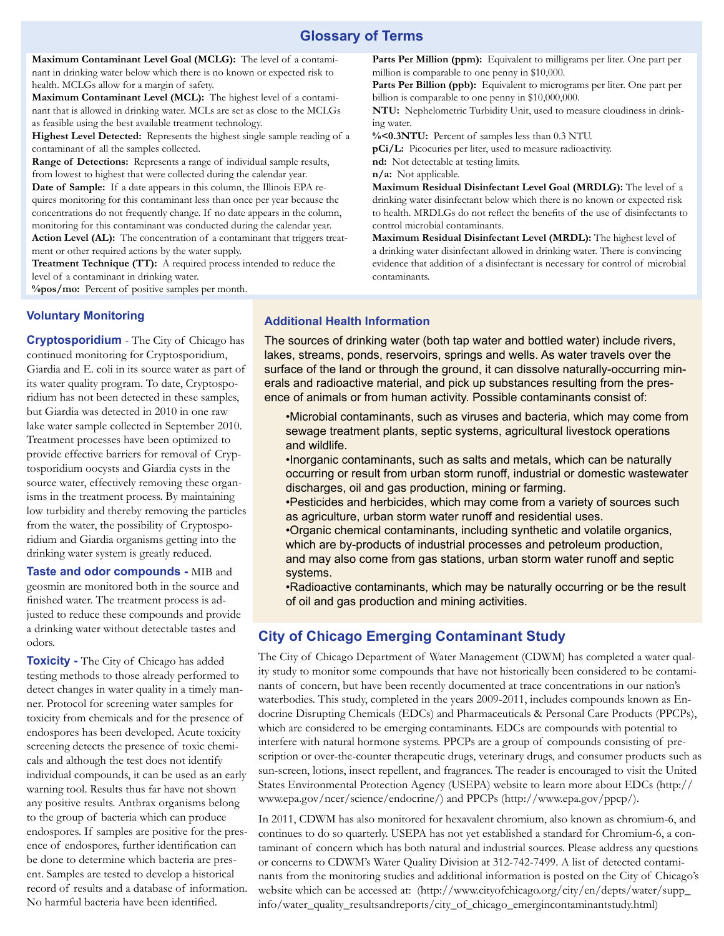#### **Glossary of Terms**

**Maximum Contaminant Level Goal (MCLG):** The level of a contaminant in drinking water below which there is no known or expected risk to health. MCLGs allow for a margin of safety.

**Maximum Contaminant Level (MCL):** The highest level of a contaminant that is allowed in drinking water. MCLs are set as close to the MCLGs as feasible using the best available treatment technology.

**Highest Level Detected:** Represents the highest single sample reading of a contaminant of all the samples collected.

**Range of Detections:** Represents a range of individual sample results, from lowest to highest that were collected during the calendar year. **Date of Sample:** If a date appears in this column, the Illinois EPA requires monitoring for this contaminant less than once per year because the concentrations do not frequently change. If no date appears in the column, monitoring for this contaminant was conducted during the calendar year. **Action Level (AL):** The concentration of a contaminant that triggers treat-

ment or other required actions by the water supply.

**Treatment Technique (TT):** A required process intended to reduce the level of a contaminant in drinking water.

**%pos/mo:** Percent of positive samples per month.

Parts Per Million (ppm): Equivalent to milligrams per liter. One part per million is comparable to one penny in \$10,000.

Parts Per Billion (ppb): Equivalent to micrograms per liter. One part per billion is comparable to one penny in \$10,000,000.

**NTU:** Nephelometric Turbidity Unit, used to measure cloudiness in drinking water.

**%<0.3NTU:** Percent of samples less than 0.3 NTU.

**pCi/L:** Picocuries per liter, used to measure radioactivity.

**nd:** Not detectable at testing limits.

**n/a:** Not applicable.

**Maximum Residual Disinfectant Level Goal (MRDLG):** The level of a drinking water disinfectant below which there is no known or expected risk to health. MRDLGs do not reflect the benefits of the use of disinfectants to control microbial contaminants.

**Maximum Residual Disinfectant Level (MRDL):** The highest level of a drinking water disinfectant allowed in drinking water. There is convincing evidence that addition of a disinfectant is necessary for control of microbial contaminants.

#### **Voluntary Monitoring**

**Cryptosporidium** - The City of Chicago has continued monitoring for Cryptosporidium, Giardia and E. coli in its source water as part of its water quality program. To date, Cryptosporidium has not been detected in these samples, but Giardia was detected in 2010 in one raw lake water sample collected in September 2010. Treatment processes have been optimized to provide effective barriers for removal of Cryptosporidium oocysts and Giardia cysts in the source water, effectively removing these organisms in the treatment process. By maintaining low turbidity and thereby removing the particles from the water, the possibility of Cryptosporidium and Giardia organisms getting into the drinking water system is greatly reduced.

**Taste and odor compounds -** MIB and geosmin are monitored both in the source and finished water. The treatment process is adjusted to reduce these compounds and provide a drinking water without detectable tastes and odors.

**Toxicity -** The City of Chicago has added testing methods to those already performed to detect changes in water quality in a timely manner. Protocol for screening water samples for toxicity from chemicals and for the presence of endospores has been developed. Acute toxicity screening detects the presence of toxic chemicals and although the test does not identify individual compounds, it can be used as an early warning tool. Results thus far have not shown any positive results. Anthrax organisms belong to the group of bacteria which can produce endospores. If samples are positive for the presence of endospores, further identification can be done to determine which bacteria are present. Samples are tested to develop a historical record of results and a database of information. No harmful bacteria have been identified.

#### **Additional Health Information**

The sources of drinking water (both tap water and bottled water) include rivers, lakes, streams, ponds, reservoirs, springs and wells. As water travels over the surface of the land or through the ground, it can dissolve naturally-occurring minerals and radioactive material, and pick up substances resulting from the presence of animals or from human activity. Possible contaminants consist of:

•Microbial contaminants, such as viruses and bacteria, which may come from sewage treatment plants, septic systems, agricultural livestock operations and wildlife.

•Inorganic contaminants, such as salts and metals, which can be naturally occurring or result from urban storm runoff, industrial or domestic wastewater discharges, oil and gas production, mining or farming.

•Pesticides and herbicides, which may come from a variety of sources such as agriculture, urban storm water runoff and residential uses.

•Organic chemical contaminants, including synthetic and volatile organics, which are by-products of industrial processes and petroleum production, and may also come from gas stations, urban storm water runoff and septic systems.

•Radioactive contaminants, which may be naturally occurring or be the result of oil and gas production and mining activities.

#### **City of Chicago Emerging Contaminant Study**

The City of Chicago Department of Water Management (CDWM) has completed a water quality study to monitor some compounds that have not historically been considered to be contaminants of concern, but have been recently documented at trace concentrations in our nation's waterbodies. This study, completed in the years 2009-2011, includes compounds known as Endocrine Disrupting Chemicals (EDCs) and Pharmaceuticals & Personal Care Products (PPCPs), which are considered to be emerging contaminants. EDCs are compounds with potential to interfere with natural hormone systems. PPCPs are a group of compounds consisting of prescription or over-the-counter therapeutic drugs, veterinary drugs, and consumer products such as sun-screen, lotions, insect repellent, and fragrances. The reader is encouraged to visit the United States Environmental Protection Agency (USEPA) website to learn more about EDCs (http:// www.epa.gov/ncer/science/endocrine/) and PPCPs (http://www.epa.gov/ppcp/).

In 2011, CDWM has also monitored for hexavalent chromium, also known as chromium-6, and continues to do so quarterly. USEPA has not yet established a standard for Chromium-6, a contaminant of concern which has both natural and industrial sources. Please address any questions or concerns to CDWM's Water Quality Division at 312-742-7499. A list of detected contaminants from the monitoring studies and additional information is posted on the City of Chicago's website which can be accessed at: (http://www.cityofchicago.org/city/en/depts/water/supp\_ info/water\_quality\_resultsandreports/city\_of\_chicago\_emergincontaminantstudy.html)